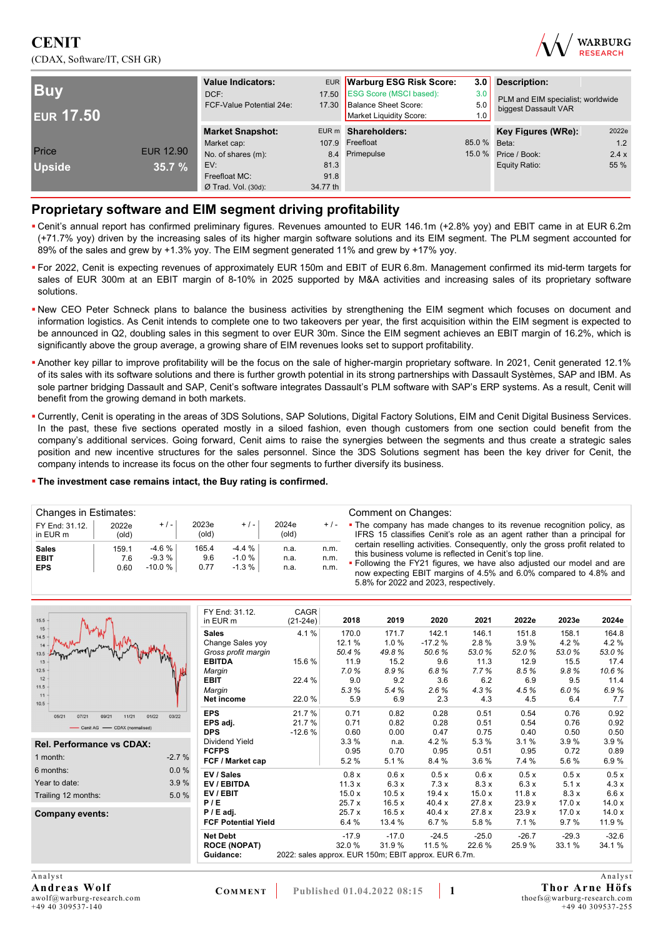## **CENIT**  (CDAX, Software/IT, CSH GR)



| <b>Buv</b><br><b>EUR 17.50</b> |                  | <b>Value Indicators:</b><br>DCF:<br>FCF-Value Potential 24e: | 17.50<br>17.30 | EUR Warburg ESG Risk Score:<br><b>ESG Score (MSCI based):</b><br>Balance Sheet Score:<br>Market Liquidity Score: | 3.0<br>3.0<br>5.0<br>1.0 | <b>Description:</b><br>PLM and EIM specialist; worldwide<br>biggest Dassault VAR |       |
|--------------------------------|------------------|--------------------------------------------------------------|----------------|------------------------------------------------------------------------------------------------------------------|--------------------------|----------------------------------------------------------------------------------|-------|
|                                |                  | <b>Market Snapshot:</b>                                      |                | EUR m Shareholders:                                                                                              |                          | Key Figures (WRe):                                                               | 2022e |
|                                |                  | Market cap:                                                  |                | 107.9 Freefloat                                                                                                  | 85.0 % Beta:             |                                                                                  | 1.2   |
| Price                          | <b>EUR 12.90</b> | No. of shares (m):                                           |                | 8.4 Primepulse                                                                                                   | 15.0%                    | Price / Book:                                                                    | 2.4x  |
| <b>Upside</b>                  | 35.7%            | EV:                                                          | 81.3           |                                                                                                                  |                          | Equity Ratio:                                                                    | 55 %  |
|                                |                  | Freefloat MC:                                                | 91.8           |                                                                                                                  |                          |                                                                                  |       |
|                                |                  | $Ø$ Trad. Vol. (30d):                                        | 34.77 th       |                                                                                                                  |                          |                                                                                  |       |

### **Proprietary software and EIM segment driving profitability**

- Cenit's annual report has confirmed preliminary figures. Revenues amounted to EUR 146.1m (+2.8% yoy) and EBIT came in at EUR 6.2m (+71.7% yoy) driven by the increasing sales of its higher margin software solutions and its EIM segment. The PLM segment accounted for 89% of the sales and grew by +1.3% yoy. The EIM segment generated 11% and grew by +17% yoy.
- For 2022, Cenit is expecting revenues of approximately EUR 150m and EBIT of EUR 6.8m. Management confirmed its mid-term targets for sales of EUR 300m at an EBIT margin of 8-10% in 2025 supported by M&A activities and increasing sales of its proprietary software solutions.
- . New CEO Peter Schneck plans to balance the business activities by strengthening the EIM segment which focuses on document and information logistics. As Cenit intends to complete one to two takeovers per year, the first acquisition within the EIM segment is expected to be announced in Q2, doubling sales in this segment to over EUR 30m. Since the EIM segment achieves an EBIT margin of 16.2%, which is significantly above the group average, a growing share of EIM revenues looks set to support profitability.
- Another key pillar to improve profitability will be the focus on the sale of higher-margin proprietary software. In 2021, Cenit generated 12.1% of its sales with its software solutions and there is further growth potential in its strong partnerships with Dassault Systèmes, SAP and IBM. As sole partner bridging Dassault and SAP, Cenit's software integrates Dassault's PLM software with SAP's ERP systems. As a result, Cenit will benefit from the growing demand in both markets.
- Currently, Cenit is operating in the areas of 3DS Solutions, SAP Solutions, Digital Factory Solutions, EIM and Cenit Digital Business Services. In the past, these five sections operated mostly in a siloed fashion, even though customers from one section could benefit from the company's additional services. Going forward, Cenit aims to raise the synergies between the segments and thus create a strategic sales position and new incentive structures for the sales personnel. Since the 3DS Solutions segment has been the key driver for Cenit, the company intends to increase its focus on the other four segments to further diversify its business.

#### **The investment case remains intact, the Buy rating is confirmed.**

| Changes in Estimates:                     |                      |                                |                      |                               |                      |                      | Comment on Changes:                                                                                                                                                                                             |
|-------------------------------------------|----------------------|--------------------------------|----------------------|-------------------------------|----------------------|----------------------|-----------------------------------------------------------------------------------------------------------------------------------------------------------------------------------------------------------------|
| FY End: 31.12.<br>in EUR m                | 2022e<br>(old)       | $+/-$                          | 2023e<br>(old)       | $+$ / $-$                     | 2024e<br>(old)       | $+/-$                | • The company has made changes to its revenue recognition policy, as<br>IFRS 15 classifies Cenit's role as an agent rather than a principal for                                                                 |
| <b>Sales</b><br><b>EBIT</b><br><b>EPS</b> | 159.1<br>7.6<br>0.60 | $-4.6%$<br>$-9.3%$<br>$-10.0%$ | 165.4<br>9.6<br>0.77 | $-4.4%$<br>$-1.0%$<br>$-1.3%$ | n.a.<br>n.a.<br>n.a. | n.m.<br>n.m.<br>n.m. | certain reselling activities. Consequently, only the gross profit related to<br>this business volume is reflected in Cenit's top line.<br>. Following the FY21 figures, we have also adjusted our model and are |
|                                           |                      |                                |                      |                               |                      |                      | now expecting EBIT margins of 4.5% and 6.0% compared to 4.8% and<br>5.8% for 2022 and 2023, respectively.                                                                                                       |

| 15.5                                      |                     | FY End: 31.12.<br>in EUR m | CAGR<br>$(21-24e)$                                   | 2018    | 2019    | 2020     | 2021    | 2022e   | 2023e   | 2024e   |
|-------------------------------------------|---------------------|----------------------------|------------------------------------------------------|---------|---------|----------|---------|---------|---------|---------|
| 15                                        | <b>Sales</b>        |                            | 4.1%                                                 | 170.0   | 171.7   | 142.1    | 146.1   | 151.8   | 158.1   | 164.8   |
| 14.5                                      |                     | Change Sales yoy           |                                                      | 12.1 %  | 1.0%    | $-17.2%$ | 2.8%    | 3.9%    | 4.2%    | 4.2%    |
| 14                                        |                     | Gross profit margin        |                                                      | 50.4%   | 49.8%   | 50.6%    | 53.0%   | 52.0%   | 53.0%   | 53.0%   |
| 13                                        |                     | <b>EBITDA</b>              | 15.6%                                                | 11.9    | 15.2    | 9.6      | 11.3    | 12.9    | 15.5    | 17.4    |
| 12.5                                      |                     | Margin                     |                                                      | 7.0%    | 8.9%    | 6.8%     | 7.7%    | 8.5%    | 9.8%    | 10.6%   |
| 12                                        | <b>EBIT</b>         |                            | 22.4 %                                               | 9.0     | 9.2     | 3.6      | 6.2     | 6.9     | 9.5     | 11.4    |
| 11.5                                      | Margin              |                            |                                                      | 5.3%    | 5.4%    | 2.6%     | 4.3%    | 4.5%    | 6.0%    | 6.9%    |
| 11<br>10.5                                |                     | Net income                 | 22.0%                                                | 5.9     | 6.9     | 2.3      | 4.3     | 4.5     | 6.4     | 7.7     |
| 05/21<br>07/21<br>11/21<br>01/22<br>09/21 | <b>EPS</b><br>03/22 |                            | 21.7 %                                               | 0.71    | 0.82    | 0.28     | 0.51    | 0.54    | 0.76    | 0.92    |
| - Cenit AG - CDAX (normalised)            |                     | EPS adj.                   | 21.7%                                                | 0.71    | 0.82    | 0.28     | 0.51    | 0.54    | 0.76    | 0.92    |
|                                           | <b>DPS</b>          |                            | $-12.6%$                                             | 0.60    | 0.00    | 0.47     | 0.75    | 0.40    | 0.50    | 0.50    |
| Rel. Performance vs CDAX:                 |                     | Dividend Yield             |                                                      | 3.3%    | n.a.    | 4.2%     | 5.3 %   | 3.1%    | 3.9%    | 3.9%    |
| 1 month:                                  | $-2.7%$             | <b>FCFPS</b>               |                                                      | 0.95    | 0.70    | 0.95     | 0.51    | 0.95    | 0.72    | 0.89    |
|                                           |                     | FCF / Market cap           |                                                      | 5.2%    | 5.1%    | 8.4 %    | 3.6%    | 7.4 %   | 5.6%    | 6.9%    |
| 6 months:                                 | $0.0 \%$            | EV / Sales                 |                                                      | 0.8 x   | 0.6x    | 0.5x     | 0.6x    | 0.5x    | 0.5x    | 0.5x    |
| Year to date:                             | 3.9%                | EV / EBITDA                |                                                      | 11.3x   | 6.3x    | 7.3x     | 8.3x    | 6.3x    | 5.1x    | 4.3x    |
| Trailing 12 months:                       | 5.0%                | EV / EBIT                  |                                                      | 15.0x   | 10.5x   | 19.4 x   | 15.0x   | 11.8x   | 8.3x    | 6.6x    |
|                                           | P/E                 |                            |                                                      | 25.7x   | 16.5x   | 40.4x    | 27.8x   | 23.9x   | 17.0x   | 14.0x   |
| <b>Company events:</b>                    |                     | $P / E$ adj.               |                                                      | 25.7x   | 16.5x   | 40.4x    | 27.8 x  | 23.9x   | 17.0x   | 14.0x   |
|                                           |                     | <b>FCF Potential Yield</b> |                                                      | 6.4%    | 13.4 %  | 6.7%     | 5.8%    | 7.1%    | 9.7%    | 11.9%   |
|                                           |                     | <b>Net Debt</b>            |                                                      | $-17.9$ | $-17.0$ | $-24.5$  | $-25.0$ | $-26.7$ | $-29.3$ | $-32.6$ |
|                                           |                     | <b>ROCE (NOPAT)</b>        |                                                      | 32.0%   | 31.9%   | 11.5 %   | 22.6%   | 25.9%   | 33.1%   | 34.1%   |
|                                           |                     | Guidance:                  | 2022: sales approx. EUR 150m; EBIT approx. EUR 6.7m. |         |         |          |         |         |         |         |
|                                           |                     |                            |                                                      |         |         |          |         |         |         |         |

A nalvst **Andreas Wolf**  awolf@warburg-research.com  $+49$  40 309537-140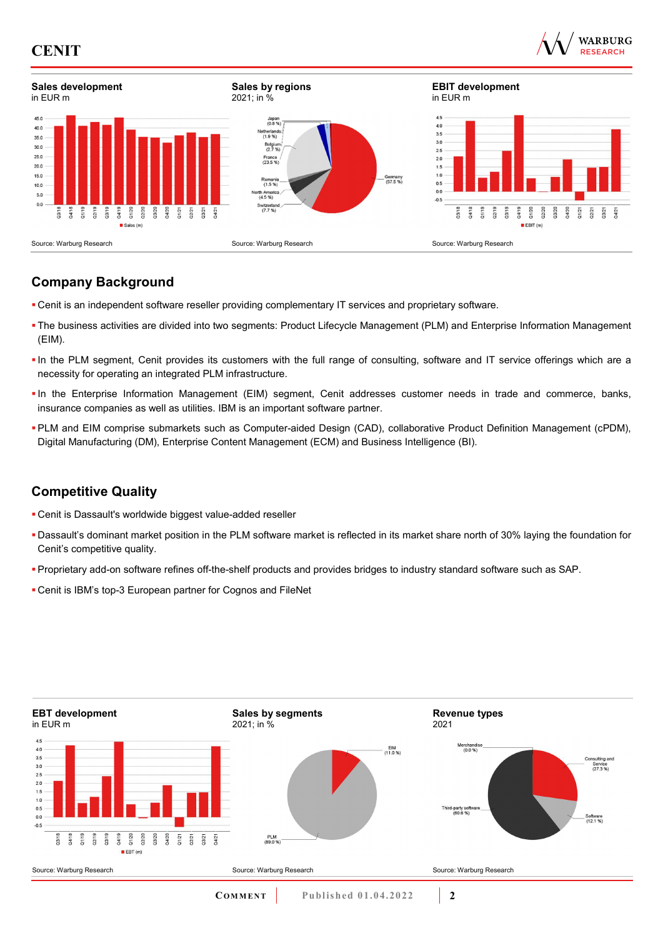





# **Company Background**

- Cenit is an independent software reseller providing complementary IT services and proprietary software.
- The business activities are divided into two segments: Product Lifecycle Management (PLM) and Enterprise Information Management (EIM).
- In the PLM segment, Cenit provides its customers with the full range of consulting, software and IT service offerings which are a necessity for operating an integrated PLM infrastructure.
- In the Enterprise Information Management (EIM) segment, Cenit addresses customer needs in trade and commerce, banks, insurance companies as well as utilities. IBM is an important software partner.
- PLM and EIM comprise submarkets such as Computer-aided Design (CAD), collaborative Product Definition Management (cPDM), Digital Manufacturing (DM), Enterprise Content Management (ECM) and Business Intelligence (BI).

## **Competitive Quality**

- Cenit is Dassault's worldwide biggest value-added reseller
- Dassault's dominant market position in the PLM software market is reflected in its market share north of 30% laying the foundation for Cenit's competitive quality.
- Proprietary add-on software refines off-the-shelf products and provides bridges to industry standard software such as SAP.
- Cenit is IBM's top-3 European partner for Cognos and FileNet

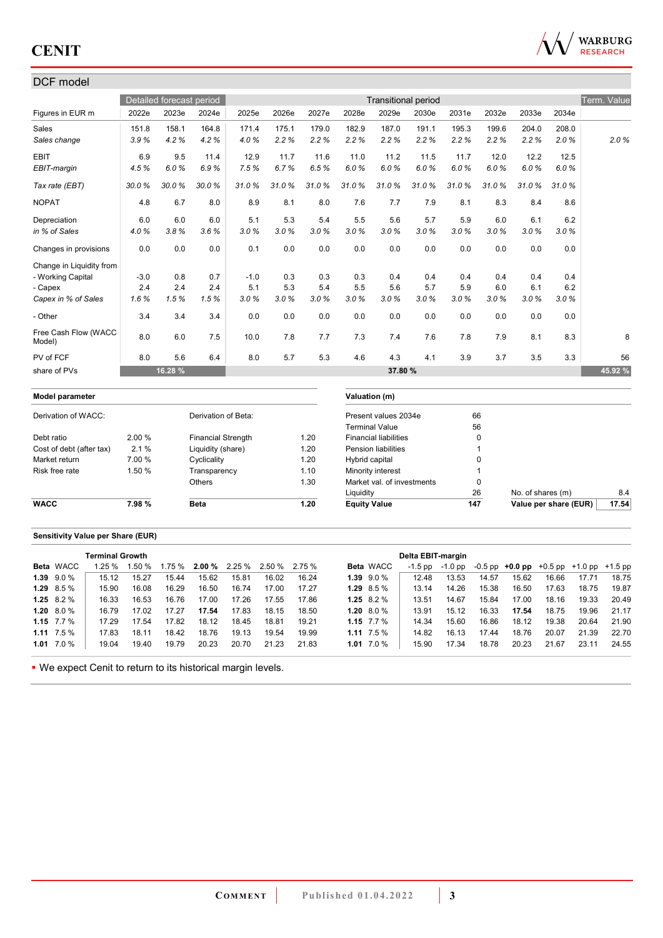

## DCF model

| וטשטווו ושש                    |        |                          |                           |        |       |       |                     |                              |       |       |          |                   |                       |             |
|--------------------------------|--------|--------------------------|---------------------------|--------|-------|-------|---------------------|------------------------------|-------|-------|----------|-------------------|-----------------------|-------------|
|                                |        | Detailed forecast period |                           |        |       |       |                     | <b>Transitional period</b>   |       |       |          |                   |                       | Term. Value |
| Figures in EUR m               | 2022e  | 2023e                    | 2024e                     | 2025e  | 2026e | 2027e | 2028e               | 2029e                        | 2030e | 2031e | 2032e    | 2033e             | 2034e                 |             |
| Sales                          | 151.8  | 158.1                    | 164.8                     | 171.4  | 175.1 | 179.0 | 182.9               | 187.0                        | 191.1 | 195.3 | 199.6    | 204.0             | 208.0                 |             |
| Sales change                   | 3.9%   | 4.2%                     | 4.2%                      | 4.0%   | 2.2%  | 2.2%  | 2.2%                | 2.2%                         | 2.2%  | 2.2%  | 2.2%     | 2.2%              | 2.0%                  | 2.0%        |
| <b>EBIT</b>                    | 6.9    | 9.5                      | 11.4                      | 12.9   | 11.7  | 11.6  | 11.0                | 11.2                         | 11.5  | 11.7  | 12.0     | 12.2              | 12.5                  |             |
| EBIT-margin                    | 4.5%   | 6.0%                     | 6.9%                      | 7.5%   | 6.7%  | 6.5%  | 6.0%                | 6.0%                         | 6.0%  | 6.0%  | 6.0%     | 6.0%              | 6.0%                  |             |
| Tax rate (EBT)                 | 30.0%  | 30.0%                    | 30.0%                     | 31.0%  | 31.0% | 31.0% | 31.0%               | 31.0%                        | 31.0% | 31.0% | 31.0%    | 31.0%             | 31.0%                 |             |
| <b>NOPAT</b>                   | 4.8    | 6.7                      | 8.0                       | 8.9    | 8.1   | 8.0   | 7.6                 | 7.7                          | 7.9   | 8.1   | 8.3      | 8.4               | 8.6                   |             |
| Depreciation                   | 6.0    | 6.0                      | 6.0                       | 5.1    | 5.3   | 5.4   | 5.5                 | 5.6                          | 5.7   | 5.9   | 6.0      | 6.1               | 6.2                   |             |
| in % of Sales                  | 4.0%   | 3.8%                     | 3.6%                      | 3.0%   | 3.0%  | 3.0%  | 3.0%                | 3.0%                         | 3.0%  | 3.0%  | 3.0%     | 3.0%              | 3.0%                  |             |
| Changes in provisions          | 0.0    | 0.0                      | 0.0                       | 0.1    | 0.0   | 0.0   | 0.0                 | 0.0                          | 0.0   | 0.0   | 0.0      | 0.0               | 0.0                   |             |
| Change in Liquidity from       |        |                          |                           |        |       |       |                     |                              |       |       |          |                   |                       |             |
| - Working Capital              | $-3.0$ | 0.8                      | 0.7                       | $-1.0$ | 0.3   | 0.3   | 0.3                 | 0.4                          | 0.4   | 0.4   | 0.4      | 0.4               | 0.4                   |             |
| - Capex                        | 2.4    | 2.4                      | 2.4                       | 5.1    | 5.3   | 5.4   | 5.5                 | 5.6                          | 5.7   | 5.9   | 6.0      | 6.1               | 6.2                   |             |
| Capex in % of Sales            | 1.6%   | 1.5%                     | 1.5%                      | 3.0%   | 3.0%  | 3.0%  | 3.0%                | 3.0%                         | 3.0%  | 3.0%  | 3.0%     | 3.0%              | 3.0%                  |             |
| - Other                        | 3.4    | 3.4                      | 3.4                       | 0.0    | 0.0   | 0.0   | 0.0                 | 0.0                          | 0.0   | 0.0   | 0.0      | 0.0               | 0.0                   |             |
| Free Cash Flow (WACC<br>Model) | 8.0    | 6.0                      | 7.5                       | 10.0   | 7.8   | 7.7   | 7.3                 | 7.4                          | 7.6   | 7.8   | 7.9      | 8.1               | 8.3                   | 8           |
| PV of FCF                      | 8.0    | 5.6                      | 6.4                       | 8.0    | 5.7   | 5.3   | 4.6                 | 4.3                          | 4.1   | 3.9   | 3.7      | 3.5               | 3.3                   | 56          |
| share of PVs                   |        | 16.28 %                  |                           |        |       |       |                     | 37.80 %                      |       |       |          |                   |                       | 45.92 %     |
| <b>Model parameter</b>         |        |                          |                           |        |       |       |                     | Valuation (m)                |       |       |          |                   |                       |             |
| Derivation of WACC:            |        |                          | Derivation of Beta:       |        |       |       |                     | Present values 2034e         |       |       | 66       |                   |                       |             |
|                                |        |                          |                           |        |       |       |                     | <b>Terminal Value</b>        |       |       | 56       |                   |                       |             |
| Debt ratio                     | 2.00%  |                          | <b>Financial Strength</b> |        |       | 1.20  |                     | <b>Financial liabilities</b> |       |       | $\Omega$ |                   |                       |             |
| Cost of debt (after tax)       | 2.1%   |                          | Liquidity (share)         |        |       | 1.20  |                     | <b>Pension liabilities</b>   |       |       | 1        |                   |                       |             |
| Market return                  | 7.00 % |                          | Cyclicality               |        |       | 1.20  | Hybrid capital      |                              |       |       | 0        |                   |                       |             |
| Risk free rate                 | 1.50 % |                          | Transparency              |        |       | 1.10  |                     | Minority interest            |       |       | 1        |                   |                       |             |
|                                |        |                          | Others                    |        |       | 1.30  |                     | Market val. of investments   |       |       | 0        |                   |                       |             |
|                                |        |                          |                           |        |       |       | Liquidity           |                              |       |       | 26       | No. of shares (m) |                       | 8.4         |
| <b>WACC</b>                    | 7.98%  |                          | <b>Beta</b>               |        |       | 1.20  | <b>Equity Value</b> |                              |       | 147   |          |                   | Value per share (EUR) | 17.54       |

### **Sensitivity Value per Share (EUR)**

|                    | <b>Terminal Growth</b> |              |       |       |       |                               |        |                |                  | Delta EBIT-margin |         |       |       |                                                   |       |       |
|--------------------|------------------------|--------------|-------|-------|-------|-------------------------------|--------|----------------|------------------|-------------------|---------|-------|-------|---------------------------------------------------|-------|-------|
| <b>Beta WACC</b>   | 1.25%                  | <b>.50 %</b> |       |       |       | $1.75\%$ 2.00 % 2.25 % 2.50 % | 2.75 % |                | <b>Beta WACC</b> | -1.5 pp           | -1.0 pp |       |       | $-0.5$ pp $+0.0$ pp $+0.5$ pp $+1.0$ pp $+1.5$ pp |       |       |
| $1.39$ $9.0\%$     | 15.12                  | 15.27        | 15.44 | 15.62 | 15.81 | 16.02                         | 16.24  | $1.39$ $9.0%$  |                  | 12.48             | 13.53   | 14.57 | 15.62 | 16.66                                             | 17.71 | 18.75 |
| $1.29$ 8.5 %       | 15.90                  | 16.08        | 16.29 | 16.50 | 16.74 | 17.00                         | 17.27  | 1.29 $8.5\%$   |                  | 13.14             | 14.26   | 15.38 | 16.50 | 17.63                                             | 18.75 | 19.87 |
| 1.25 $8.2\%$       | 16.33                  | 16.53        | 16.76 | 17.00 | 17.26 | 17.55                         | 17.86  | 1.25 $8.2\%$   |                  | 13.51             | 14.67   | 15.84 | 17.00 | 18.16                                             | 19.33 | 20.49 |
| $1.20\quad 8.0\%$  | 16.79                  | 17.02        | 17.27 | 17.54 | 17.83 | 18.15                         | 18.50  | 1.20 $8.0\%$   |                  | 13.91             | 15.12   | 16.33 | 17.54 | 18.75                                             | 19.96 | 21.17 |
| 1.15 $7.7\%$       | 17.29                  | 17.54        | 17.82 | 18.12 | 18.45 | 18.81                         | 19.21  | 1.15 $7.7%$    |                  | 14.34             | 15.60   | 16.86 | 18.12 | 19.38                                             | 20.64 | 21.90 |
| $1.11 \quad 7.5\%$ | 17.83                  | 18.11        | 18.42 | 18.76 | 19.13 | 19.54                         | 19.99  | 1.11 $7.5\%$   |                  | 14.82             | 16.13   | 17.44 | 18.76 | 20.07                                             | 21.39 | 22.70 |
| 1.01 $7.0\%$       | 19.04                  | 19.40        | 19.79 | 20.23 | 20.70 | 21.23                         | 21.83  | $1.01$ $7.0\%$ |                  | 15.90             | 17.34   | 18.78 | 20.23 | 21.67                                             | 23.11 | 24.55 |

We expect Cenit to return to its historical margin levels.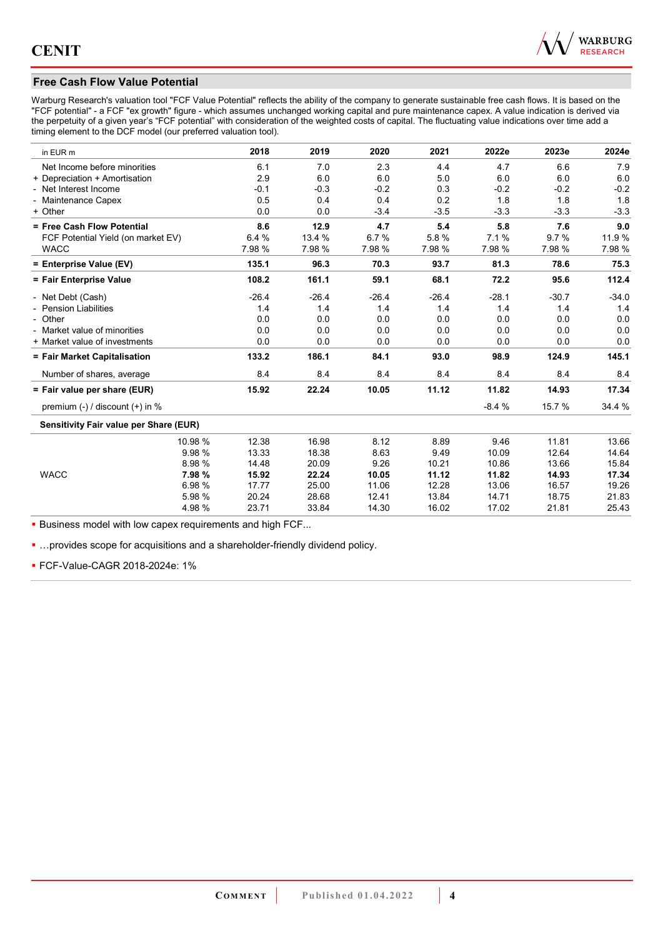

### **Free Cash Flow Value Potential**

Warburg Research's valuation tool "FCF Value Potential" reflects the ability of the company to generate sustainable free cash flows. It is based on the "FCF potential" - a FCF "ex growth" figure - which assumes unchanged working capital and pure maintenance capex. A value indication is derived via the perpetuity of a given year's "FCF potential" with consideration of the weighted costs of capital. The fluctuating value indications over time add a timing element to the DCF model (our preferred valuation tool).

| in EUR m                               | 2018    | 2019    | 2020    | 2021    | 2022e   | 2023e   | 2024e   |
|----------------------------------------|---------|---------|---------|---------|---------|---------|---------|
| Net Income before minorities           | 6.1     | 7.0     | 2.3     | 4.4     | 4.7     | 6.6     | 7.9     |
| + Depreciation + Amortisation          | 2.9     | 6.0     | 6.0     | 5.0     | 6.0     | 6.0     | 6.0     |
| - Net Interest Income                  | $-0.1$  | $-0.3$  | $-0.2$  | 0.3     | $-0.2$  | $-0.2$  | $-0.2$  |
| - Maintenance Capex                    | 0.5     | 0.4     | 0.4     | 0.2     | 1.8     | 1.8     | 1.8     |
| + Other                                | 0.0     | 0.0     | $-3.4$  | $-3.5$  | $-3.3$  | $-3.3$  | $-3.3$  |
| = Free Cash Flow Potential             | 8.6     | 12.9    | 4.7     | 5.4     | 5.8     | 7.6     | 9.0     |
| FCF Potential Yield (on market EV)     | 6.4%    | 13.4 %  | 6.7%    | 5.8%    | 7.1%    | 9.7%    | 11.9%   |
| <b>WACC</b>                            | 7.98 %  | 7.98 %  | 7.98 %  | 7.98 %  | 7.98 %  | 7.98 %  | 7.98 %  |
| = Enterprise Value (EV)                | 135.1   | 96.3    | 70.3    | 93.7    | 81.3    | 78.6    | 75.3    |
| = Fair Enterprise Value                | 108.2   | 161.1   | 59.1    | 68.1    | 72.2    | 95.6    | 112.4   |
| - Net Debt (Cash)                      | $-26.4$ | $-26.4$ | $-26.4$ | $-26.4$ | $-28.1$ | $-30.7$ | $-34.0$ |
| - Pension Liabilities                  | 1.4     | 1.4     | 1.4     | 1.4     | 1.4     | 1.4     | 1.4     |
| - Other                                | 0.0     | 0.0     | 0.0     | 0.0     | 0.0     | 0.0     | 0.0     |
| - Market value of minorities           | 0.0     | 0.0     | 0.0     | 0.0     | 0.0     | 0.0     | 0.0     |
| + Market value of investments          | 0.0     | 0.0     | 0.0     | 0.0     | 0.0     | 0.0     | 0.0     |
| = Fair Market Capitalisation           | 133.2   | 186.1   | 84.1    | 93.0    | 98.9    | 124.9   | 145.1   |
| Number of shares, average              | 8.4     | 8.4     | 8.4     | 8.4     | 8.4     | 8.4     | 8.4     |
| = Fair value per share (EUR)           | 15.92   | 22.24   | 10.05   | 11.12   | 11.82   | 14.93   | 17.34   |
| premium (-) / discount (+) in %        |         |         |         |         | $-8.4%$ | 15.7 %  | 34.4 %  |
| Sensitivity Fair value per Share (EUR) |         |         |         |         |         |         |         |
| 10.98 %                                | 12.38   | 16.98   | 8.12    | 8.89    | 9.46    | 11.81   | 13.66   |
| 9.98%                                  | 13.33   | 18.38   | 8.63    | 9.49    | 10.09   | 12.64   | 14.64   |
| 8.98%                                  | 14.48   | 20.09   | 9.26    | 10.21   | 10.86   | 13.66   | 15.84   |
| <b>WACC</b><br>7.98%                   | 15.92   | 22.24   | 10.05   | 11.12   | 11.82   | 14.93   | 17.34   |
| 6.98 %                                 | 17.77   | 25.00   | 11.06   | 12.28   | 13.06   | 16.57   | 19.26   |
| 5.98 %                                 | 20.24   | 28.68   | 12.41   | 13.84   | 14.71   | 18.75   | 21.83   |
| 4.98 %                                 | 23.71   | 33.84   | 14.30   | 16.02   | 17.02   | 21.81   | 25.43   |

**Business model with low capex requirements and high FCF...** 

**...** provides scope for acquisitions and a shareholder-friendly dividend policy.

FCF-Value-CAGR 2018-2024e: 1%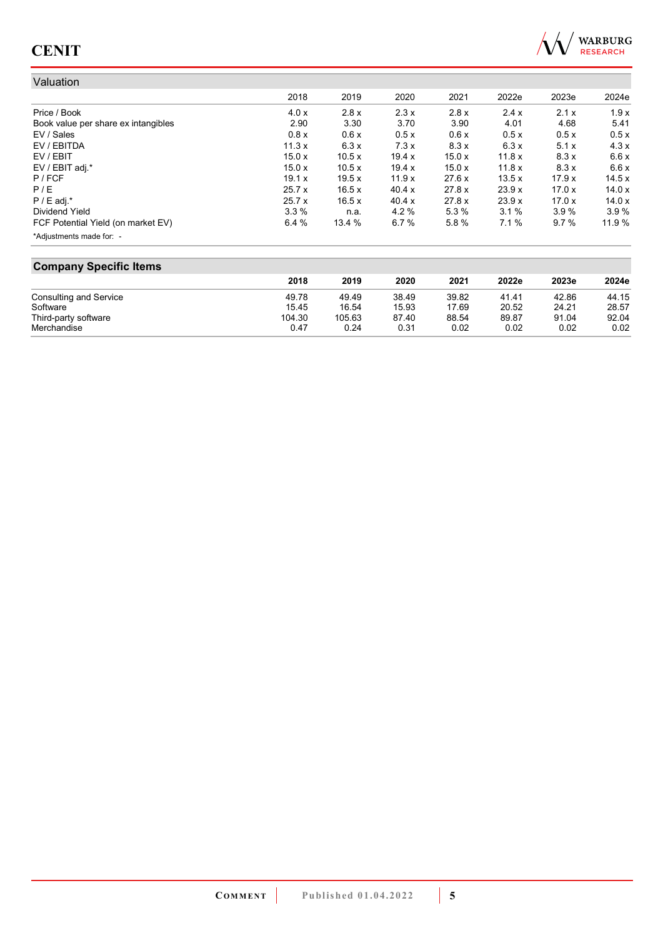

#### Valuation 2018 2019 2020 2021 2022e 2023e 2024e Price / Book 4.0 x 2.8 x 2.3 x 2.8 x 2.4 x 2.1 x 1.9 x Book value per share ex intangibles  $2.90$   $3.30$   $3.70$   $3.90$   $4.01$   $4.68$   $5.41$ <br>EV / Sales  $0.5 \times$   $0.5 \times$   $0.5 \times$   $0.5 \times$   $0.5 \times$   $0.5 \times$  $EV/Sales$  0.8  $0.8 \times$  0.6  $x$  0.5  $x$  0.6  $x$  0.5  $x$  0.5  $x$  0.5  $x$  0.5  $x$  0.5  $x$  0.5  $x$ EV / EBITDA 11.3 x 6.3 x 7.3 x 8.3 x 6.3 x 5.1 x 4.3 x EV / EBIT 15.0 x 10.5 x 19.4 x 15.0 x 11.8 x 8.3 x 6.6 x EV / EBIT adj.\* 15.0 x 10.5 x 19.4 x 15.0 x 11.8 x 8.3 x 6.6 x P / FCF 19.1 x 19.5 x 11.9 x 27.6 x 13.5 x 17.9 x 14.5 x P / E 25.7 x 16.5 x 40.4 x 27.8 x 23.9 x 17.0 x 14.0 x P / E adj.\* 25.7 x 16.5 x 40.4 x 27.8 x 23.9 x 17.0 x 14.0 x Dividend Yield 3.3 % n.a. 4.2 % 5.3 % 3.1 % 3.9 % 3.9 % FCF Potential Yield (on market EV) 6.4 % 13.4 % 6.7 % 5.8 % 7.1 % 9.7 % 11.9 % \*Adjustments made for: -

#### **Company Specific Items**

|                        | 2018   | 2019   | 2020  | 2021  | 2022e | 2023e | 2024e |
|------------------------|--------|--------|-------|-------|-------|-------|-------|
| Consulting and Service | 49.78  | 49.49  | 38.49 | 39.82 | 41.41 | 42.86 | 44.15 |
| Software               | 15.45  | 16.54  | 15.93 | 17.69 | 20.52 | 24.21 | 28.57 |
| Third-party software   | 104.30 | 105.63 | 87.40 | 88.54 | 89.87 | 91.04 | 92.04 |
| Merchandise            | 0.47   | 0.24   | 0.31  | 0.02  | 0.02  | 0.02  | 0.02  |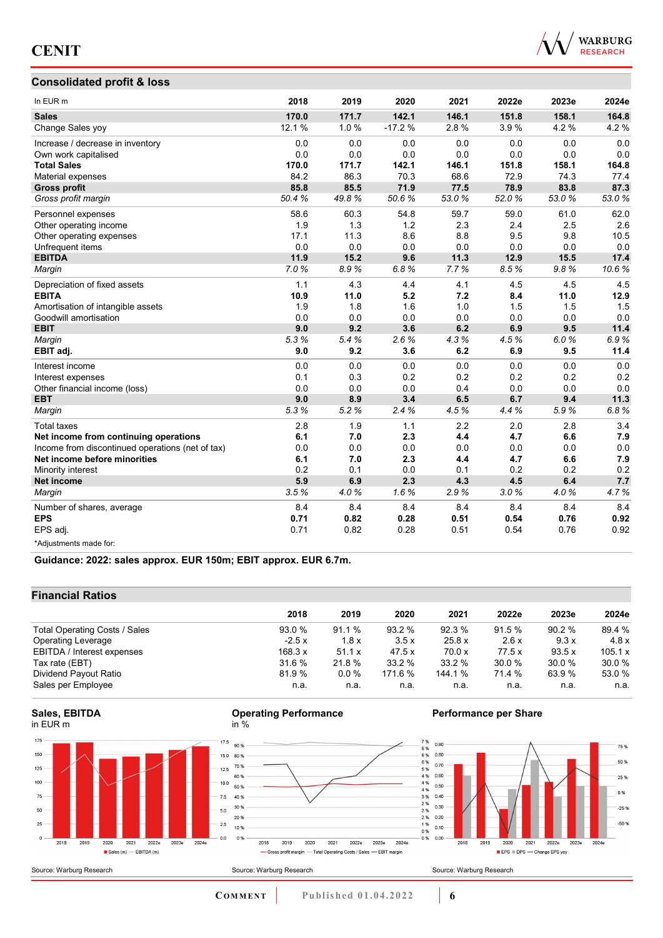

### **Consolidated profit & loss**

| In EUR <sub>m</sub>                              | 2018   | 2019  | 2020     | 2021  | 2022e | 2023e | 2024e |
|--------------------------------------------------|--------|-------|----------|-------|-------|-------|-------|
| <b>Sales</b>                                     | 170.0  | 171.7 | 142.1    | 146.1 | 151.8 | 158.1 | 164.8 |
| Change Sales yoy                                 | 12.1 % | 1.0%  | $-17.2%$ | 2.8%  | 3.9%  | 4.2%  | 4.2%  |
| Increase / decrease in inventory                 | 0.0    | 0.0   | 0.0      | 0.0   | 0.0   | 0.0   | 0.0   |
| Own work capitalised                             | 0.0    | 0.0   | 0.0      | 0.0   | 0.0   | 0.0   | 0.0   |
| <b>Total Sales</b>                               | 170.0  | 171.7 | 142.1    | 146.1 | 151.8 | 158.1 | 164.8 |
| Material expenses                                | 84.2   | 86.3  | 70.3     | 68.6  | 72.9  | 74.3  | 77.4  |
| <b>Gross profit</b>                              | 85.8   | 85.5  | 71.9     | 77.5  | 78.9  | 83.8  | 87.3  |
| Gross profit margin                              | 50.4%  | 49.8% | 50.6%    | 53.0% | 52.0% | 53.0% | 53.0% |
| Personnel expenses                               | 58.6   | 60.3  | 54.8     | 59.7  | 59.0  | 61.0  | 62.0  |
| Other operating income                           | 1.9    | 1.3   | 1.2      | 2.3   | 2.4   | 2.5   | 2.6   |
| Other operating expenses                         | 17.1   | 11.3  | 8.6      | 8.8   | 9.5   | 9.8   | 10.5  |
| Unfrequent items                                 | 0.0    | 0.0   | 0.0      | 0.0   | 0.0   | 0.0   | 0.0   |
| <b>EBITDA</b>                                    | 11.9   | 15.2  | 9.6      | 11.3  | 12.9  | 15.5  | 17.4  |
| Margin                                           | 7.0%   | 8.9%  | 6.8%     | 7.7%  | 8.5%  | 9.8%  | 10.6% |
| Depreciation of fixed assets                     | 1.1    | 4.3   | 4.4      | 4.1   | 4.5   | 4.5   | 4.5   |
| <b>EBITA</b>                                     | 10.9   | 11.0  | 5.2      | 7.2   | 8.4   | 11.0  | 12.9  |
| Amortisation of intangible assets                | 1.9    | 1.8   | 1.6      | 1.0   | 1.5   | 1.5   | 1.5   |
| Goodwill amortisation                            | 0.0    | 0.0   | 0.0      | 0.0   | 0.0   | 0.0   | 0.0   |
| <b>EBIT</b>                                      | 9.0    | 9.2   | 3.6      | 6.2   | 6.9   | 9.5   | 11.4  |
| Margin                                           | 5.3%   | 5.4%  | 2.6%     | 4.3%  | 4.5%  | 6.0%  | 6.9%  |
| EBIT adj.                                        | 9.0    | 9.2   | 3.6      | 6.2   | 6.9   | 9.5   | 11.4  |
| Interest income                                  | 0.0    | 0.0   | 0.0      | 0.0   | 0.0   | 0.0   | 0.0   |
| Interest expenses                                | 0.1    | 0.3   | 0.2      | 0.2   | 0.2   | 0.2   | 0.2   |
| Other financial income (loss)                    | 0.0    | 0.0   | 0.0      | 0.4   | 0.0   | 0.0   | 0.0   |
| <b>EBT</b>                                       | 9.0    | 8.9   | 3.4      | 6.5   | 6.7   | 9.4   | 11.3  |
| Margin                                           | 5.3%   | 5.2%  | 2.4%     | 4.5%  | 4.4%  | 5.9%  | 6.8%  |
| <b>Total taxes</b>                               | 2.8    | 1.9   | 1.1      | 2.2   | 2.0   | 2.8   | 3.4   |
| Net income from continuing operations            | 6.1    | 7.0   | 2.3      | 4.4   | 4.7   | 6.6   | 7.9   |
| Income from discontinued operations (net of tax) | 0.0    | 0.0   | 0.0      | 0.0   | 0.0   | 0.0   | 0.0   |
| Net income before minorities                     | 6.1    | 7.0   | 2.3      | 4.4   | 4.7   | 6.6   | 7.9   |
| Minority interest                                | 0.2    | 0.1   | 0.0      | 0.1   | 0.2   | 0.2   | 0.2   |
| <b>Net income</b>                                | 5.9    | 6.9   | 2.3      | 4.3   | 4.5   | 6.4   | 7.7   |
| Margin                                           | 3.5%   | 4.0%  | 1.6%     | 2.9%  | 3.0%  | 4.0%  | 4.7%  |
| Number of shares, average                        | 8.4    | 8.4   | 8.4      | 8.4   | 8.4   | 8.4   | 8.4   |
| <b>EPS</b>                                       | 0.71   | 0.82  | 0.28     | 0.51  | 0.54  | 0.76  | 0.92  |
| EPS adj.                                         | 0.71   | 0.82  | 0.28     | 0.51  | 0.54  | 0.76  | 0.92  |
| *Adjustments made for:                           |        |       |          |       |       |       |       |

**Guidance: 2022: sales approx. EUR 150m; EBIT approx. EUR 6.7m.**

### **Financial Ratios**

| 2018    | 2019    | 2020    | 2021    | 2022e  | 2023e  | 2024e   |
|---------|---------|---------|---------|--------|--------|---------|
| 93.0 %  | 91.1%   | 93.2 %  | 92.3 %  | 91.5 % | 90.2%  | 89.4 %  |
| $-2.5x$ | 1.8x    | 3.5x    | 25.8 x  | 2.6x   | 9.3x   | 4.8x    |
| 168.3 x | 51.1 x  | 47.5x   | 70.0 x  | 77.5x  | 93.5 x | 105.1 x |
| 31.6 %  | 21.8 %  | 33.2%   | 33.2 %  | 30.0%  | 30.0%  | 30.0 %  |
| 81.9%   | $0.0\%$ | 171.6 % | 144.1 % | 71.4 % | 63.9%  | 53.0 %  |
| n.a.    | n.a.    | n.a.    | n.a.    | n.a.   | n.a.   | n.a.    |
|         |         |         |         |        |        |         |







 $2019$ 

2020

2018





- Gross profit margin - Total Operating Costs / Sales - EBIT margin

2021 2022e 2023e 2024e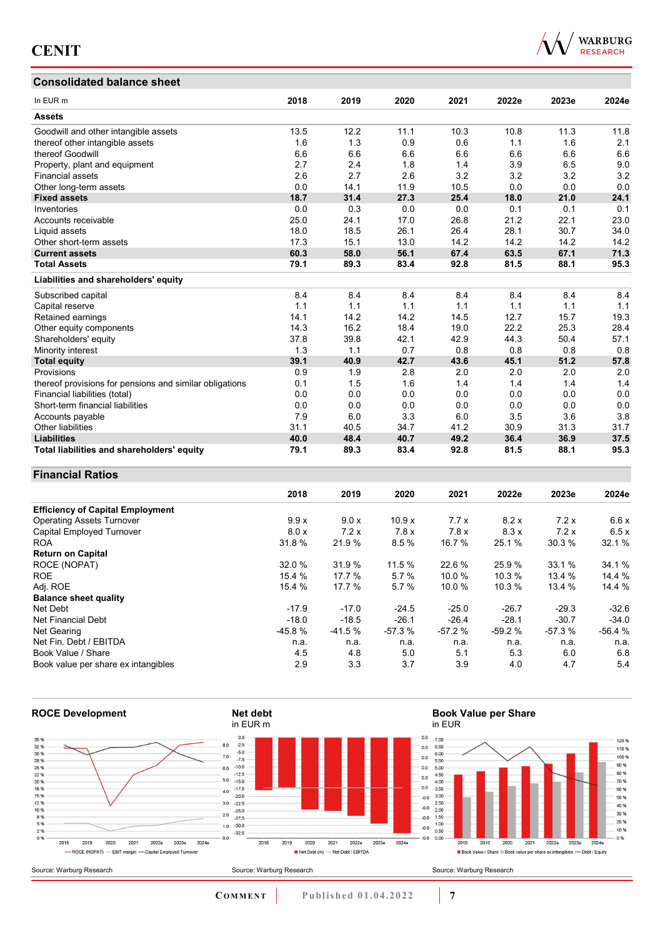### **Consolidated balance sheet**



| Consolidated balance sheet                              |      |      |      |      |       |       |       |
|---------------------------------------------------------|------|------|------|------|-------|-------|-------|
| In EUR m                                                | 2018 | 2019 | 2020 | 2021 | 2022e | 2023e | 2024e |
| <b>Assets</b>                                           |      |      |      |      |       |       |       |
| Goodwill and other intangible assets                    | 13.5 | 12.2 | 11.1 | 10.3 | 10.8  | 11.3  | 11.8  |
| thereof other intangible assets                         | 1.6  | 1.3  | 0.9  | 0.6  | 1.1   | 1.6   | 2.1   |
| thereof Goodwill                                        | 6.6  | 6.6  | 6.6  | 6.6  | 6.6   | 6.6   | 6.6   |
| Property, plant and equipment                           | 2.7  | 2.4  | 1.8  | 1.4  | 3.9   | 6.5   | 9.0   |
| <b>Financial assets</b>                                 | 2.6  | 2.7  | 2.6  | 3.2  | 3.2   | 3.2   | 3.2   |
| Other long-term assets                                  | 0.0  | 14.1 | 11.9 | 10.5 | 0.0   | 0.0   | 0.0   |
| <b>Fixed assets</b>                                     | 18.7 | 31.4 | 27.3 | 25.4 | 18.0  | 21.0  | 24.1  |
| Inventories                                             | 0.0  | 0.3  | 0.0  | 0.0  | 0.1   | 0.1   | 0.1   |
| Accounts receivable                                     | 25.0 | 24.1 | 17.0 | 26.8 | 21.2  | 22.1  | 23.0  |
| Liquid assets                                           | 18.0 | 18.5 | 26.1 | 26.4 | 28.1  | 30.7  | 34.0  |
| Other short-term assets                                 | 17.3 | 15.1 | 13.0 | 14.2 | 14.2  | 14.2  | 14.2  |
| <b>Current assets</b>                                   | 60.3 | 58.0 | 56.1 | 67.4 | 63.5  | 67.1  | 71.3  |
| <b>Total Assets</b>                                     | 79.1 | 89.3 | 83.4 | 92.8 | 81.5  | 88.1  | 95.3  |
| Liabilities and shareholders' equity                    |      |      |      |      |       |       |       |
| Subscribed capital                                      | 8.4  | 8.4  | 8.4  | 8.4  | 8.4   | 8.4   | 8.4   |
| Capital reserve                                         | 1.1  | 1.1  | 1.1  | 1.1  | 1.1   | 1.1   | 1.1   |
| Retained earnings                                       | 14.1 | 14.2 | 14.2 | 14.5 | 12.7  | 15.7  | 19.3  |
| Other equity components                                 | 14.3 | 16.2 | 18.4 | 19.0 | 22.2  | 25.3  | 28.4  |
| Shareholders' equity                                    | 37.8 | 39.8 | 42.1 | 42.9 | 44.3  | 50.4  | 57.1  |
| Minority interest                                       | 1.3  | 1.1  | 0.7  | 0.8  | 0.8   | 0.8   | 0.8   |
| <b>Total equity</b>                                     | 39.1 | 40.9 | 42.7 | 43.6 | 45.1  | 51.2  | 57.8  |
| Provisions                                              | 0.9  | 1.9  | 2.8  | 2.0  | 2.0   | 2.0   | 2.0   |
| thereof provisions for pensions and similar obligations | 0.1  | 1.5  | 1.6  | 1.4  | 1.4   | 1.4   | 1.4   |
| Financial liabilities (total)                           | 0.0  | 0.0  | 0.0  | 0.0  | 0.0   | 0.0   | 0.0   |
| Short-term financial liabilities                        | 0.0  | 0.0  | 0.0  | 0.0  | 0.0   | 0.0   | 0.0   |
| Accounts payable                                        | 7.9  | 6.0  | 3.3  | 6.0  | 3.5   | 3.6   | 3.8   |
| <b>Other liabilities</b>                                | 31.1 | 40.5 | 34.7 | 41.2 | 30.9  | 31.3  | 31.7  |
| <b>Liabilities</b>                                      | 40.0 | 48.4 | 40.7 | 49.2 | 36.4  | 36.9  | 37.5  |
| Total liabilities and shareholders' equity              | 79.1 | 89.3 | 83.4 | 92.8 | 81.5  | 88.1  | 95.3  |

### **Financial Ratios**

|                                         | 2018     | 2019     | 2020     | 2021     | 2022e    | 2023e    | 2024e    |
|-----------------------------------------|----------|----------|----------|----------|----------|----------|----------|
| <b>Efficiency of Capital Employment</b> |          |          |          |          |          |          |          |
| <b>Operating Assets Turnover</b>        | 9.9x     | 9.0 x    | 10.9x    | 7.7x     | 8.2x     | 7.2x     | 6.6x     |
| Capital Employed Turnover               | 8.0 x    | 7.2x     | 7.8x     | 7.8x     | 8.3x     | 7.2x     | 6.5x     |
| <b>ROA</b>                              | 31.8 %   | 21.9 %   | 8.5%     | 16.7 %   | 25.1 %   | 30.3 %   | 32.1 %   |
| <b>Return on Capital</b>                |          |          |          |          |          |          |          |
| ROCE (NOPAT)                            | 32.0 %   | 31.9%    | 11.5 %   | 22.6 %   | 25.9 %   | 33.1 %   | 34.1 %   |
| <b>ROE</b>                              | 15.4%    | 17.7 %   | 5.7%     | 10.0%    | 10.3%    | 13.4%    | 14.4 %   |
| Adj. ROE                                | 15.4 %   | 17.7 %   | 5.7%     | 10.0%    | 10.3 %   | 13.4 %   | 14.4 %   |
| <b>Balance sheet quality</b>            |          |          |          |          |          |          |          |
| Net Debt                                | $-17.9$  | $-17.0$  | $-24.5$  | $-25.0$  | $-26.7$  | $-29.3$  | $-32.6$  |
| Net Financial Debt                      | $-18.0$  | $-18.5$  | $-26.1$  | $-26.4$  | $-28.1$  | $-30.7$  | $-34.0$  |
| Net Gearing                             | $-45.8%$ | $-41.5%$ | $-57.3%$ | $-57.2%$ | $-59.2%$ | $-57.3%$ | $-56.4%$ |
| Net Fin. Debt / EBITDA                  | n.a.     | n.a.     | n.a.     | n.a.     | n.a.     | n.a.     | n.a.     |
| Book Value / Share                      | 4.5      | 4.8      | 5.0      | 5.1      | 5.3      | 6.0      | 6.8      |
| Book value per share ex intangibles     | 2.9      | 3.3      | 3.7      | 3.9      | 4.0      | 4.7      | 5.4      |



**COMMENT Published 01.04.2022 7**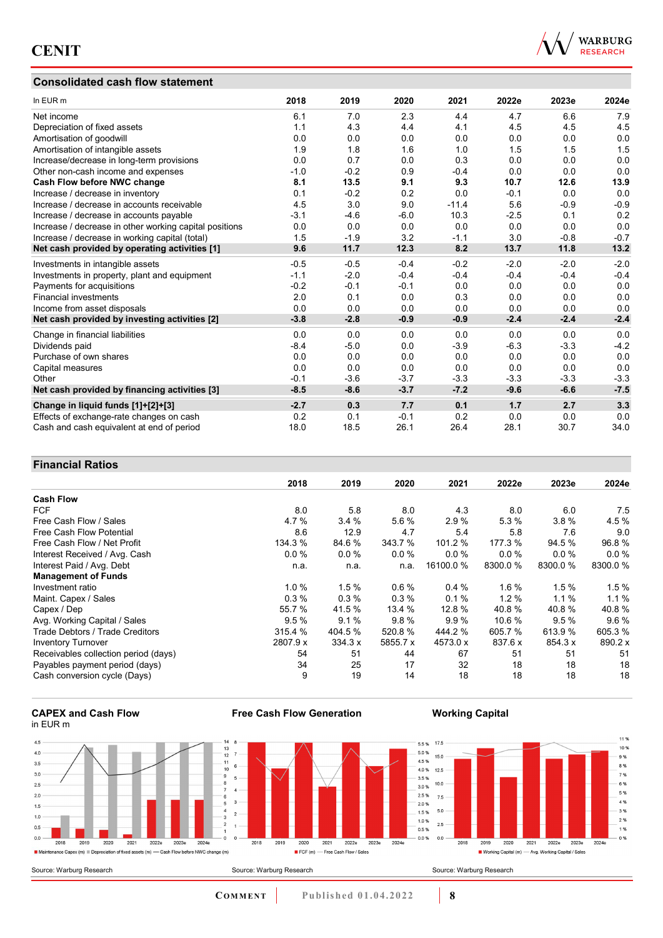## **Consolidated cash flow statement**



| In EUR m                                               | 2018   | 2019   | 2020   | 2021    | 2022e  | 2023e  | 2024e  |
|--------------------------------------------------------|--------|--------|--------|---------|--------|--------|--------|
| Net income                                             | 6.1    | 7.0    | 2.3    | 4.4     | 4.7    | 6.6    | 7.9    |
| Depreciation of fixed assets                           | 1.1    | 4.3    | 4.4    | 4.1     | 4.5    | 4.5    | 4.5    |
| Amortisation of goodwill                               | 0.0    | 0.0    | 0.0    | 0.0     | 0.0    | 0.0    | 0.0    |
| Amortisation of intangible assets                      | 1.9    | 1.8    | 1.6    | 1.0     | 1.5    | 1.5    | 1.5    |
| Increase/decrease in long-term provisions              | 0.0    | 0.7    | 0.0    | 0.3     | 0.0    | 0.0    | 0.0    |
| Other non-cash income and expenses                     | $-1.0$ | $-0.2$ | 0.9    | $-0.4$  | 0.0    | 0.0    | 0.0    |
| Cash Flow before NWC change                            | 8.1    | 13.5   | 9.1    | 9.3     | 10.7   | 12.6   | 13.9   |
| Increase / decrease in inventory                       | 0.1    | $-0.2$ | 0.2    | 0.0     | $-0.1$ | 0.0    | 0.0    |
| Increase / decrease in accounts receivable             | 4.5    | 3.0    | 9.0    | $-11.4$ | 5.6    | $-0.9$ | $-0.9$ |
| Increase / decrease in accounts payable                | $-3.1$ | $-4.6$ | $-6.0$ | 10.3    | $-2.5$ | 0.1    | 0.2    |
| Increase / decrease in other working capital positions | 0.0    | 0.0    | 0.0    | 0.0     | 0.0    | 0.0    | 0.0    |
| Increase / decrease in working capital (total)         | 1.5    | $-1.9$ | 3.2    | $-1.1$  | 3.0    | $-0.8$ | $-0.7$ |
| Net cash provided by operating activities [1]          | 9.6    | 11.7   | 12.3   | 8.2     | 13.7   | 11.8   | 13.2   |
| Investments in intangible assets                       | $-0.5$ | $-0.5$ | $-0.4$ | $-0.2$  | $-2.0$ | $-2.0$ | $-2.0$ |
| Investments in property, plant and equipment           | $-1.1$ | $-2.0$ | $-0.4$ | $-0.4$  | $-0.4$ | $-0.4$ | $-0.4$ |
| Payments for acquisitions                              | $-0.2$ | $-0.1$ | $-0.1$ | 0.0     | 0.0    | 0.0    | 0.0    |
| <b>Financial investments</b>                           | 2.0    | 0.1    | 0.0    | 0.3     | 0.0    | 0.0    | 0.0    |
| Income from asset disposals                            | 0.0    | 0.0    | 0.0    | 0.0     | 0.0    | 0.0    | 0.0    |
| Net cash provided by investing activities [2]          | $-3.8$ | $-2.8$ | $-0.9$ | $-0.9$  | $-2.4$ | $-2.4$ | $-2.4$ |
| Change in financial liabilities                        | 0.0    | 0.0    | 0.0    | 0.0     | 0.0    | 0.0    | 0.0    |
| Dividends paid                                         | $-8.4$ | $-5.0$ | 0.0    | $-3.9$  | $-6.3$ | $-3.3$ | $-4.2$ |
| Purchase of own shares                                 | 0.0    | 0.0    | 0.0    | 0.0     | 0.0    | 0.0    | 0.0    |
| Capital measures                                       | 0.0    | 0.0    | 0.0    | 0.0     | 0.0    | 0.0    | 0.0    |
| Other                                                  | $-0.1$ | $-3.6$ | $-3.7$ | $-3.3$  | $-3.3$ | $-3.3$ | $-3.3$ |
| Net cash provided by financing activities [3]          | $-8.5$ | $-8.6$ | $-3.7$ | $-7.2$  | $-9.6$ | $-6.6$ | $-7.5$ |
| Change in liquid funds [1]+[2]+[3]                     | $-2.7$ | 0.3    | 7.7    | 0.1     | 1.7    | 2.7    | 3.3    |
| Effects of exchange-rate changes on cash               | 0.2    | 0.1    | $-0.1$ | 0.2     | 0.0    | 0.0    | 0.0    |
| Cash and cash equivalent at end of period              | 18.0   | 18.5   | 26.1   | 26.4    | 28.1   | 30.7   | 34.0   |

### **Financial Ratios**

| 1 1114117141 RAGO                    |          |         |          |           |          |         |         |
|--------------------------------------|----------|---------|----------|-----------|----------|---------|---------|
|                                      | 2018     | 2019    | 2020     | 2021      | 2022e    | 2023e   | 2024e   |
| <b>Cash Flow</b>                     |          |         |          |           |          |         |         |
| <b>FCF</b>                           | 8.0      | 5.8     | 8.0      | 4.3       | 8.0      | 6.0     | 7.5     |
| Free Cash Flow / Sales               | 4.7%     | 3.4%    | 5.6%     | 2.9%      | 5.3%     | $3.8\%$ | 4.5%    |
| Free Cash Flow Potential             | 8.6      | 12.9    | 4.7      | 5.4       | 5.8      | 7.6     | 9.0     |
| Free Cash Flow / Net Profit          | 134.3 %  | 84.6 %  | 343.7 %  | 101.2 %   | 177.3 %  | 94.5 %  | 96.8%   |
| Interest Received / Avg. Cash        | 0.0%     | $0.0\%$ | 0.0%     | $0.0\%$   | $0.0\%$  | $0.0\%$ | $0.0\%$ |
| Interest Paid / Avg. Debt            | n.a.     | n.a.    | n.a.     | 16100.0 % | 8300.0 % | 8300.0% | 8300.0% |
| <b>Management of Funds</b>           |          |         |          |           |          |         |         |
| Investment ratio                     | 1.0%     | 1.5%    | $0.6\%$  | 0.4%      | 1.6%     | 1.5%    | 1.5%    |
| Maint. Capex / Sales                 | 0.3%     | 0.3%    | 0.3%     | 0.1%      | 1.2%     | $1.1\%$ | 1.1%    |
| Capex / Dep                          | 55.7 %   | 41.5 %  | 13.4 %   | 12.8 %    | 40.8%    | 40.8%   | 40.8%   |
| Avg. Working Capital / Sales         | 9.5%     | 9.1%    | 9.8%     | 9.9%      | 10.6 %   | 9.5%    | 9.6%    |
| Trade Debtors / Trade Creditors      | 315.4 %  | 404.5 % | 520.8%   | 444.2 %   | 605.7 %  | 613.9%  | 605.3%  |
| <b>Inventory Turnover</b>            | 2807.9 x | 334.3 x | 5855.7 x | 4573.0 x  | 837.6 x  | 854.3 x | 890.2 x |
| Receivables collection period (days) | 54       | 51      | 44       | 67        | 51       | 51      | 51      |
| Payables payment period (days)       | 34       | 25      | 17       | 32        | 18       | 18      | 18      |
| Cash conversion cycle (Days)         | 9        | 19      | 14       | 18        | 18       | 18      | 18      |





**Free Cash Flow Generation**

**COMMENT** Published 01.04.2022 **8** 

**Working Capital**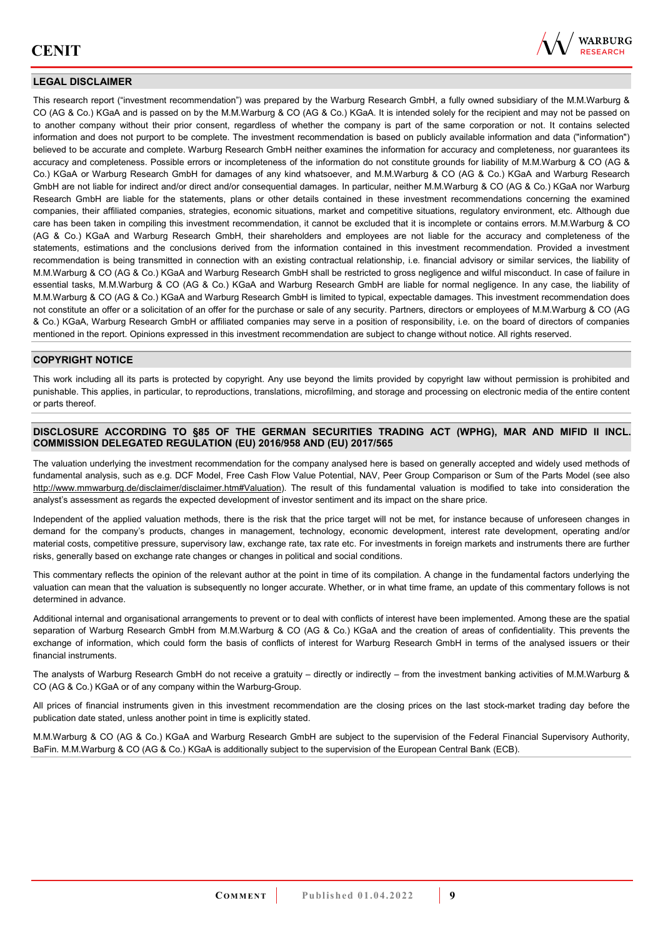

### **LEGAL DISCLAIMER**

This research report ("investment recommendation") was prepared by the Warburg Research GmbH, a fully owned subsidiary of the M.M.Warburg & CO (AG & Co.) KGaA and is passed on by the M.M.Warburg & CO (AG & Co.) KGaA. It is intended solely for the recipient and may not be passed on to another company without their prior consent, regardless of whether the company is part of the same corporation or not. It contains selected information and does not purport to be complete. The investment recommendation is based on publicly available information and data ("information") believed to be accurate and complete. Warburg Research GmbH neither examines the information for accuracy and completeness, nor guarantees its accuracy and completeness. Possible errors or incompleteness of the information do not constitute grounds for liability of M.M.Warburg & CO (AG & Co.) KGaA or Warburg Research GmbH for damages of any kind whatsoever, and M.M.Warburg & CO (AG & Co.) KGaA and Warburg Research GmbH are not liable for indirect and/or direct and/or consequential damages. In particular, neither M.M.Warburg & CO (AG & Co.) KGaA nor Warburg Research GmbH are liable for the statements, plans or other details contained in these investment recommendations concerning the examined companies, their affiliated companies, strategies, economic situations, market and competitive situations, regulatory environment, etc. Although due care has been taken in compiling this investment recommendation, it cannot be excluded that it is incomplete or contains errors. M.M.Warburg & CO (AG & Co.) KGaA and Warburg Research GmbH, their shareholders and employees are not liable for the accuracy and completeness of the statements, estimations and the conclusions derived from the information contained in this investment recommendation. Provided a investment recommendation is being transmitted in connection with an existing contractual relationship, i.e. financial advisory or similar services, the liability of M.M.Warburg & CO (AG & Co.) KGaA and Warburg Research GmbH shall be restricted to gross negligence and wilful misconduct. In case of failure in essential tasks, M.M.Warburg & CO (AG & Co.) KGaA and Warburg Research GmbH are liable for normal negligence. In any case, the liability of M.M.Warburg & CO (AG & Co.) KGaA and Warburg Research GmbH is limited to typical, expectable damages. This investment recommendation does not constitute an offer or a solicitation of an offer for the purchase or sale of any security. Partners, directors or employees of M.M.Warburg & CO (AG & Co.) KGaA, Warburg Research GmbH or affiliated companies may serve in a position of responsibility, i.e. on the board of directors of companies mentioned in the report. Opinions expressed in this investment recommendation are subject to change without notice. All rights reserved.

### **COPYRIGHT NOTICE**

This work including all its parts is protected by copyright. Any use beyond the limits provided by copyright law without permission is prohibited and punishable. This applies, in particular, to reproductions, translations, microfilming, and storage and processing on electronic media of the entire content or parts thereof.

### **DISCLOSURE ACCORDING TO §85 OF THE GERMAN SECURITIES TRADING ACT (WPHG), MAR AND MIFID II INCL. COMMISSION DELEGATED REGULATION (EU) 2016/958 AND (EU) 2017/565**

The valuation underlying the investment recommendation for the company analysed here is based on generally accepted and widely used methods of fundamental analysis, such as e.g. DCF Model, Free Cash Flow Value Potential, NAV, Peer Group Comparison or Sum of the Parts Model (see also [http://www.mmwarburg.de/disclaimer/disclaimer.htm#Valuation\)](http://www.mmwarburg.de/disclaimer/disclaimer.htm#Valuation). The result of this fundamental valuation is modified to take into consideration the analyst's assessment as regards the expected development of investor sentiment and its impact on the share price.

Independent of the applied valuation methods, there is the risk that the price target will not be met, for instance because of unforeseen changes in demand for the company's products, changes in management, technology, economic development, interest rate development, operating and/or material costs, competitive pressure, supervisory law, exchange rate, tax rate etc. For investments in foreign markets and instruments there are further risks, generally based on exchange rate changes or changes in political and social conditions.

This commentary reflects the opinion of the relevant author at the point in time of its compilation. A change in the fundamental factors underlying the valuation can mean that the valuation is subsequently no longer accurate. Whether, or in what time frame, an update of this commentary follows is not determined in advance.

Additional internal and organisational arrangements to prevent or to deal with conflicts of interest have been implemented. Among these are the spatial separation of Warburg Research GmbH from M.M.Warburg & CO (AG & Co.) KGaA and the creation of areas of confidentiality. This prevents the exchange of information, which could form the basis of conflicts of interest for Warburg Research GmbH in terms of the analysed issuers or their financial instruments.

The analysts of Warburg Research GmbH do not receive a gratuity – directly or indirectly – from the investment banking activities of M.M.Warburg & CO (AG & Co.) KGaA or of any company within the Warburg-Group.

All prices of financial instruments given in this investment recommendation are the closing prices on the last stock-market trading day before the publication date stated, unless another point in time is explicitly stated.

M.M.Warburg & CO (AG & Co.) KGaA and Warburg Research GmbH are subject to the supervision of the Federal Financial Supervisory Authority, BaFin. M.M.Warburg & CO (AG & Co.) KGaA is additionally subject to the supervision of the European Central Bank (ECB).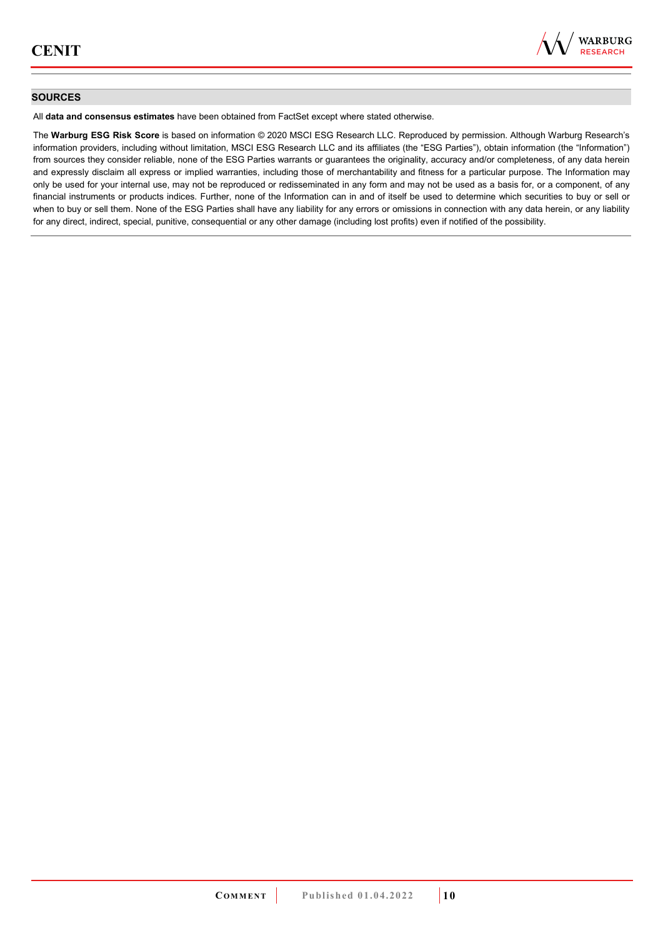

### **SOURCES**

All **data and consensus estimates** have been obtained from FactSet except where stated otherwise.

The **Warburg ESG Risk Score** is based on information © 2020 MSCI ESG Research LLC. Reproduced by permission. Although Warburg Research's information providers, including without limitation, MSCI ESG Research LLC and its affiliates (the "ESG Parties"), obtain information (the "Information") from sources they consider reliable, none of the ESG Parties warrants or guarantees the originality, accuracy and/or completeness, of any data herein and expressly disclaim all express or implied warranties, including those of merchantability and fitness for a particular purpose. The Information may only be used for your internal use, may not be reproduced or redisseminated in any form and may not be used as a basis for, or a component, of any financial instruments or products indices. Further, none of the Information can in and of itself be used to determine which securities to buy or sell or when to buy or sell them. None of the ESG Parties shall have any liability for any errors or omissions in connection with any data herein, or any liability for any direct, indirect, special, punitive, consequential or any other damage (including lost profits) even if notified of the possibility.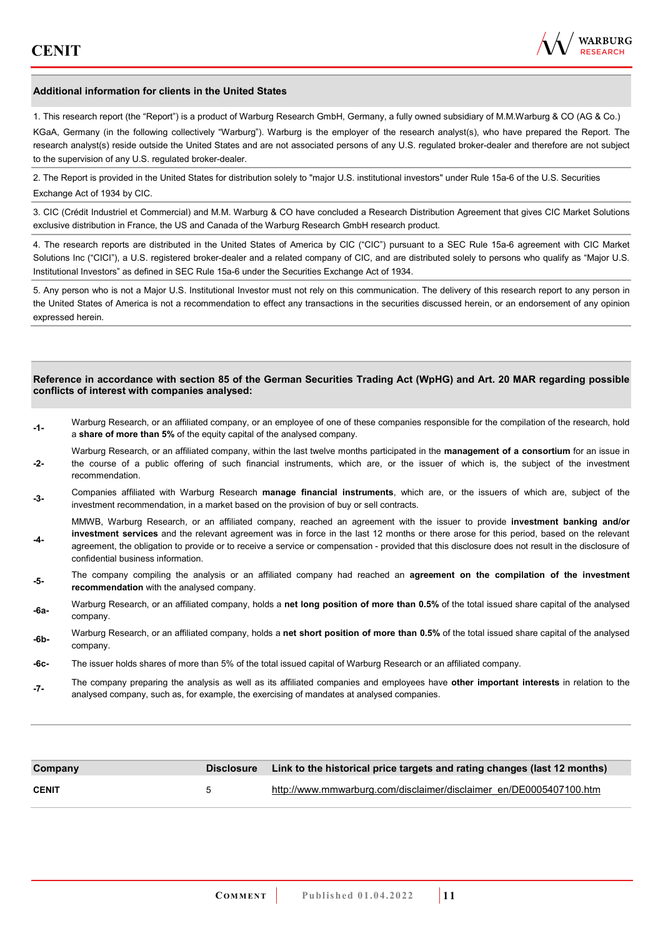

#### **Additional information for clients in the United States**

1. This research report (the "Report") is a product of Warburg Research GmbH, Germany, a fully owned subsidiary of M.M.Warburg & CO (AG & Co.)

KGaA, Germany (in the following collectively "Warburg"). Warburg is the employer of the research analyst(s), who have prepared the Report. The research analyst(s) reside outside the United States and are not associated persons of any U.S. regulated broker-dealer and therefore are not subject to the supervision of any U.S. regulated broker-dealer.

2. The Report is provided in the United States for distribution solely to "major U.S. institutional investors" under Rule 15a-6 of the U.S. Securities Exchange Act of 1934 by CIC.

3. CIC (Crédit Industriel et Commercial) and M.M. Warburg & CO have concluded a Research Distribution Agreement that gives CIC Market Solutions exclusive distribution in France, the US and Canada of the Warburg Research GmbH research product.

4. The research reports are distributed in the United States of America by CIC ("CIC") pursuant to a SEC Rule 15a-6 agreement with CIC Market Solutions Inc ("CICI"), a U.S. registered broker-dealer and a related company of CIC, and are distributed solely to persons who qualify as "Major U.S. Institutional Investors" as defined in SEC Rule 15a-6 under the Securities Exchange Act of 1934.

5. Any person who is not a Major U.S. Institutional Investor must not rely on this communication. The delivery of this research report to any person in the United States of America is not a recommendation to effect any transactions in the securities discussed herein, or an endorsement of any opinion expressed herein.

#### **Reference in accordance with section 85 of the German Securities Trading Act (WpHG) and Art. 20 MAR regarding possible conflicts of interest with companies analysed:**

- **-1-** Warburg Research, or an affiliated company, or an employee of one of these companies responsible for the compilation of the research, hold a **share of more than 5%** of the equity capital of the analysed company.
- **-2-**  Warburg Research, or an affiliated company, within the last twelve months participated in the **management of a consortium** for an issue in the course of a public offering of such financial instruments, which are, or the issuer of which is, the subject of the investment recommendation.
- **-3-** Companies affiliated with Warburg Research **manage financial instruments**, which are, or the issuers of which are, subject of the investment recommendation, in a market based on the provision of buy or sell contracts.

MMWB, Warburg Research, or an affiliated company, reached an agreement with the issuer to provide **investment banking and/or investment services** and the relevant agreement was in force in the last 12 months or there arose for this period, based on the relevant

- **-4**  agreement, the obligation to provide or to receive a service or compensation - provided that this disclosure does not result in the disclosure of confidential business information.
- **-5-** The company compiling the analysis or an affiliated company had reached an **agreement on the compilation of the investment recommendation** with the analysed company.
- **-6a-** Warburg Research, or an affiliated company, holds a **net long position of more than 0.5%** of the total issued share capital of the analysed company.
- **-6b-** Warburg Research, or an affiliated company, holds a **net short position of more than 0.5%** of the total issued share capital of the analysed company.
- **-6c-** The issuer holds shares of more than 5% of the total issued capital of Warburg Research or an affiliated company.
- **-7-** The company preparing the analysis as well as its affiliated companies and employees have **other important interests** in relation to the analysed company, such as, for example, the exercising of mandates at analysed companies.

| Company      |   | Disclosure Link to the historical price targets and rating changes (last 12 months) |
|--------------|---|-------------------------------------------------------------------------------------|
| <b>CENIT</b> | h | http://www.mmwarburg.com/disclaimer/disclaimer_en/DE0005407100.htm                  |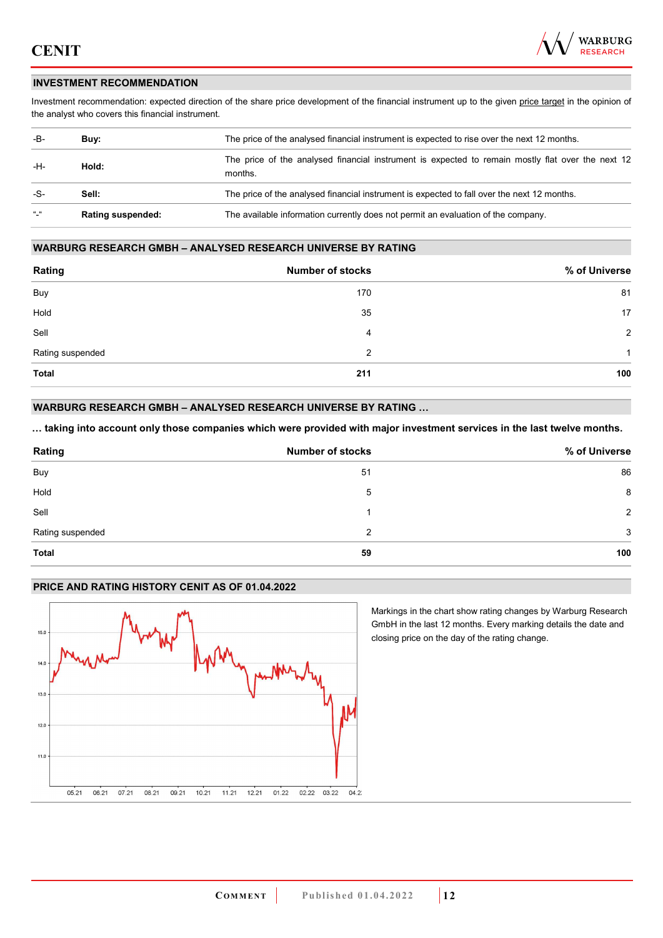

### **INVESTMENT RECOMMENDATION**

Investment recommendation: expected direction of the share price development of the financial instrument up to the given price target in the opinion of the analyst who covers this financial instrument.

| -B-           | Buy:                     | The price of the analysed financial instrument is expected to rise over the next 12 months.                  |
|---------------|--------------------------|--------------------------------------------------------------------------------------------------------------|
| -H-           | Hold:                    | The price of the analysed financial instrument is expected to remain mostly flat over the next 12<br>months. |
| -S-           | Sell:                    | The price of the analysed financial instrument is expected to fall over the next 12 months.                  |
| $\frac{1}{2}$ | <b>Rating suspended:</b> | The available information currently does not permit an evaluation of the company.                            |

### **WARBURG RESEARCH GMBH – ANALYSED RESEARCH UNIVERSE BY RATING**

| Rating           | <b>Number of stocks</b> | % of Universe  |
|------------------|-------------------------|----------------|
| Buy              | 170                     | 81             |
| Hold             | 35                      | 17             |
| Sell             | 4                       | $\overline{2}$ |
| Rating suspended | 2                       | 1              |
| <b>Total</b>     | 211                     | 100            |

### **WARBURG RESEARCH GMBH – ANALYSED RESEARCH UNIVERSE BY RATING …**

**… taking into account only those companies which were provided with major investment services in the last twelve months.** 

| Rating           | <b>Number of stocks</b> | % of Universe |
|------------------|-------------------------|---------------|
| Buy              | 51                      | 86            |
| Hold             | 5                       | 8             |
| Sell             |                         | 2             |
| Rating suspended | 2                       | 3             |
| <b>Total</b>     | 59                      | 100           |

### **PRICE AND RATING HISTORY CENIT AS OF 01.04.2022**



Markings in the chart show rating changes by Warburg Research GmbH in the last 12 months. Every marking details the date and closing price on the day of the rating change.